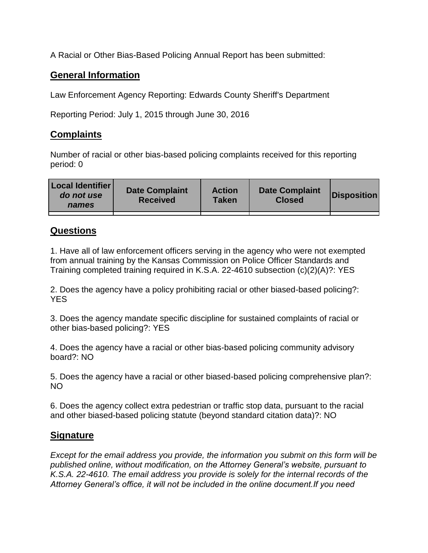A Racial or Other Bias-Based Policing Annual Report has been submitted:

## **General Information**

Law Enforcement Agency Reporting: Edwards County Sheriff's Department

Reporting Period: July 1, 2015 through June 30, 2016

## **Complaints**

Number of racial or other bias-based policing complaints received for this reporting period: 0

| <b>Local Identifier</b><br>do not use<br>names | <b>Date Complaint</b><br><b>Received</b> | <b>Action</b><br><b>Taken</b> | <b>Date Complaint</b><br><b>Closed</b> | Disposition |
|------------------------------------------------|------------------------------------------|-------------------------------|----------------------------------------|-------------|
|                                                |                                          |                               |                                        |             |

## **Questions**

1. Have all of law enforcement officers serving in the agency who were not exempted from annual training by the Kansas Commission on Police Officer Standards and Training completed training required in K.S.A. 22-4610 subsection (c)(2)(A)?: YES

2. Does the agency have a policy prohibiting racial or other biased-based policing?: YES

3. Does the agency mandate specific discipline for sustained complaints of racial or other bias-based policing?: YES

4. Does the agency have a racial or other bias-based policing community advisory board?: NO

5. Does the agency have a racial or other biased-based policing comprehensive plan?: NO

6. Does the agency collect extra pedestrian or traffic stop data, pursuant to the racial and other biased-based policing statute (beyond standard citation data)?: NO

## **Signature**

*Except for the email address you provide, the information you submit on this form will be published online, without modification, on the Attorney General's website, pursuant to K.S.A. 22-4610. The email address you provide is solely for the internal records of the Attorney General's office, it will not be included in the online document.If you need*